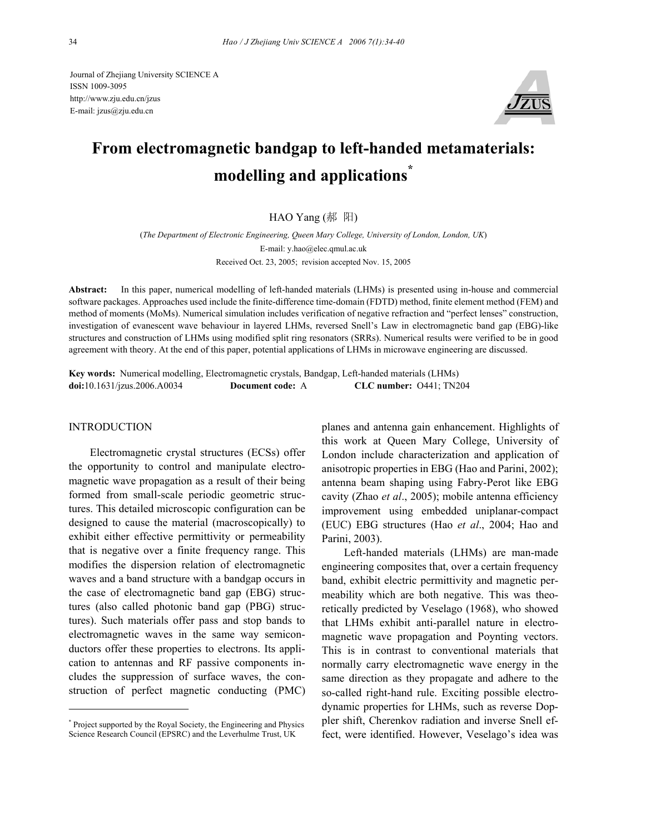Journal of Zhejiang University SCIENCE A ISSN 1009-3095 http://www.zju.edu.cn/jzus E-mail: jzus@zju.edu.cn



# **From electromagnetic bandgap to left-handed metamaterials: modelling and applications\***

## HAO Yang (郝 阳)

(*The Department of Electronic Engineering, Queen Mary College, University of London, London, UK*) E-mail: y.hao@elec.qmul.ac.uk Received Oct. 23, 2005; revision accepted Nov. 15, 2005

**Abstract:** In this paper, numerical modelling of left-handed materials (LHMs) is presented using in-house and commercial software packages. Approaches used include the finite-difference time-domain (FDTD) method, finite element method (FEM) and method of moments (MoMs). Numerical simulation includes verification of negative refraction and "perfect lenses" construction, investigation of evanescent wave behaviour in layered LHMs, reversed Snell's Law in electromagnetic band gap (EBG)-like structures and construction of LHMs using modified split ring resonators (SRRs). Numerical results were verified to be in good agreement with theory. At the end of this paper, potential applications of LHMs in microwave engineering are discussed.

**Key words:** Numerical modelling, Electromagnetic crystals, Bandgap, Left-handed materials (LHMs) **doi:**10.1631/jzus.2006.A0034 **Document code:** A **CLC number:** O441; TN204

## **INTRODUCTION**

Electromagnetic crystal structures (ECSs) offer the opportunity to control and manipulate electromagnetic wave propagation as a result of their being formed from small-scale periodic geometric structures. This detailed microscopic configuration can be designed to cause the material (macroscopically) to exhibit either effective permittivity or permeability that is negative over a finite frequency range. This modifies the dispersion relation of electromagnetic waves and a band structure with a bandgap occurs in the case of electromagnetic band gap (EBG) structures (also called photonic band gap (PBG) structures). Such materials offer pass and stop bands to electromagnetic waves in the same way semiconductors offer these properties to electrons. Its application to antennas and RF passive components includes the suppression of surface waves, the construction of perfect magnetic conducting (PMC)

planes and antenna gain enhancement. Highlights of this work at Queen Mary College, University of London include characterization and application of anisotropic properties in EBG (Hao and Parini, 2002); antenna beam shaping using Fabry-Perot like EBG cavity (Zhao *et al*., 2005); mobile antenna efficiency improvement using embedded uniplanar-compact (EUC) EBG structures (Hao *et al*., 2004; Hao and Parini, 2003).

Left-handed materials (LHMs) are man-made engineering composites that, over a certain frequency band, exhibit electric permittivity and magnetic permeability which are both negative. This was theoretically predicted by Veselago (1968), who showed that LHMs exhibit anti-parallel nature in electromagnetic wave propagation and Poynting vectors. This is in contrast to conventional materials that normally carry electromagnetic wave energy in the same direction as they propagate and adhere to the so-called right-hand rule. Exciting possible electrodynamic properties for LHMs, such as reverse Doppler shift, Cherenkov radiation and inverse Snell effect, were identified. However, Veselago's idea was

<sup>\*</sup> Project supported by the Royal Society, the Engineering and Physics Science Research Council (EPSRC) and the Leverhulme Trust, UK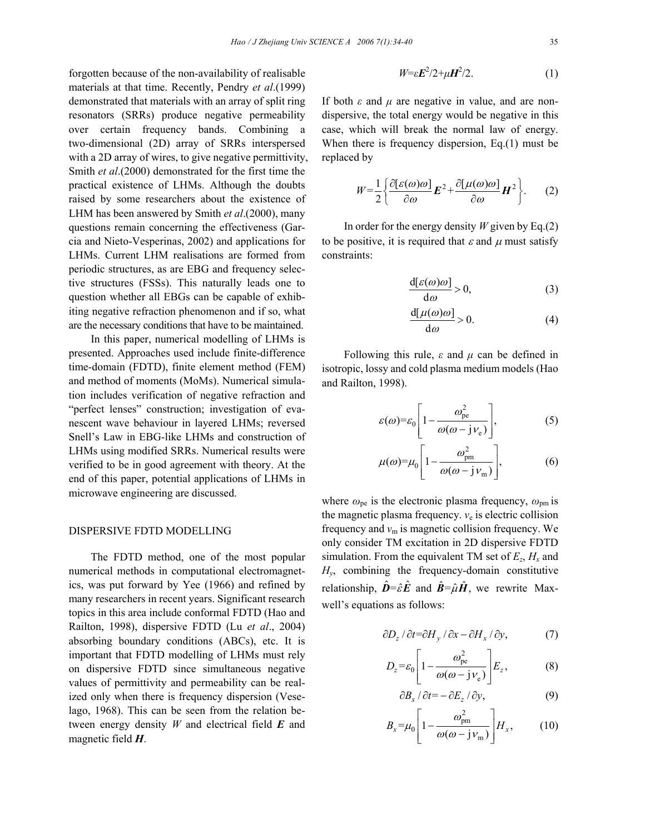forgotten because of the non-availability of realisable materials at that time. Recently, Pendry *et al*.(1999) demonstrated that materials with an array of split ring resonators (SRRs) produce negative permeability over certain frequency bands. Combining a two-dimensional (2D) array of SRRs interspersed with a 2D array of wires, to give negative permittivity, Smith *et al*.(2000) demonstrated for the first time the practical existence of LHMs. Although the doubts raised by some researchers about the existence of LHM has been answered by Smith *et al*.(2000), many questions remain concerning the effectiveness (Garcia and Nieto-Vesperinas, 2002) and applications for LHMs. Current LHM realisations are formed from periodic structures, as are EBG and frequency selective structures (FSSs). This naturally leads one to question whether all EBGs can be capable of exhibiting negative refraction phenomenon and if so, what are the necessary conditions that have to be maintained.

In this paper, numerical modelling of LHMs is presented. Approaches used include finite-difference time-domain (FDTD), finite element method (FEM) and method of moments (MoMs). Numerical simulation includes verification of negative refraction and "perfect lenses" construction; investigation of evanescent wave behaviour in layered LHMs; reversed Snell's Law in EBG-like LHMs and construction of LHMs using modified SRRs. Numerical results were verified to be in good agreement with theory. At the end of this paper, potential applications of LHMs in microwave engineering are discussed.

#### DISPERSIVE FDTD MODELLING

The FDTD method, one of the most popular numerical methods in computational electromagnetics, was put forward by Yee (1966) and refined by many researchers in recent years. Significant research topics in this area include conformal FDTD (Hao and Railton, 1998), dispersive FDTD (Lu *et al*., 2004) absorbing boundary conditions (ABCs), etc. It is important that FDTD modelling of LHMs must rely on dispersive FDTD since simultaneous negative values of permittivity and permeability can be realized only when there is frequency dispersion (Veselago, 1968). This can be seen from the relation between energy density *W* and electrical field *E* and magnetic field *H*.

$$
W = \varepsilon E^2 / 2 + \mu H^2 / 2. \tag{1}
$$

If both *ε* and *µ* are negative in value, and are nondispersive, the total energy would be negative in this case, which will break the normal law of energy. When there is frequency dispersion, Eq.(1) must be replaced by

$$
W = \frac{1}{2} \left\{ \frac{\partial [\varepsilon(\omega)\omega]}{\partial \omega} \mathbf{E}^2 + \frac{\partial [\mu(\omega)\omega]}{\partial \omega} \mathbf{H}^2 \right\}.
$$
 (2)

In order for the energy density *W* given by Eq.(2) to be positive, it is required that  $\varepsilon$  and  $\mu$  must satisfy constraints:

$$
\frac{d[\varepsilon(\omega)\omega]}{d\omega} > 0, \tag{3}
$$

$$
\frac{d[\mu(\omega)\omega]}{d\omega} > 0.
$$
 (4)

Following this rule, *ε* and *µ* can be defined in isotropic, lossy and cold plasma medium models (Hao and Railton, 1998).

$$
\varepsilon(\omega) = \varepsilon_0 \left[ 1 - \frac{\omega_{\rm pe}^2}{\omega(\omega - j v_{\rm e})} \right],\tag{5}
$$

$$
\mu(\omega) = \mu_0 \left[ 1 - \frac{\omega_{\rm pm}^2}{\omega(\omega - j \nu_{\rm m})} \right],\tag{6}
$$

where  $\omega_{\rm pe}$  is the electronic plasma frequency,  $\omega_{\rm pm}$  is the magnetic plasma frequency. *ν*e is electric collision frequency and *ν*m is magnetic collision frequency. We only consider TM excitation in 2D dispersive FDTD simulation. From the equivalent TM set of  $E_z$ ,  $H_x$  and *Hy*, combining the frequency-domain constitutive relationship,  $\hat{\mathbf{D}} = \hat{\varepsilon} \hat{\mathbf{E}}$  and  $\hat{\mathbf{B}} = \hat{\mu} \hat{\mathbf{H}}$ , we rewrite Maxwell's equations as follows:

$$
\frac{\partial D_z}{\partial t} = \frac{\partial H_y}{\partial x} - \frac{\partial H_x}{\partial y},\tag{7}
$$

$$
D_z = \varepsilon_0 \left[ 1 - \frac{\omega_{\text{pe}}^2}{\omega(\omega - j_{\text{e}})} \right] E_z, \tag{8}
$$

$$
\partial B_x / \partial t = - \partial E_z / \partial y, \tag{9}
$$

$$
B_x = \mu_0 \left[ 1 - \frac{\omega_{\text{pm}}^2}{\omega(\omega - jv_{\text{m}})} \right] H_x, \quad (10)
$$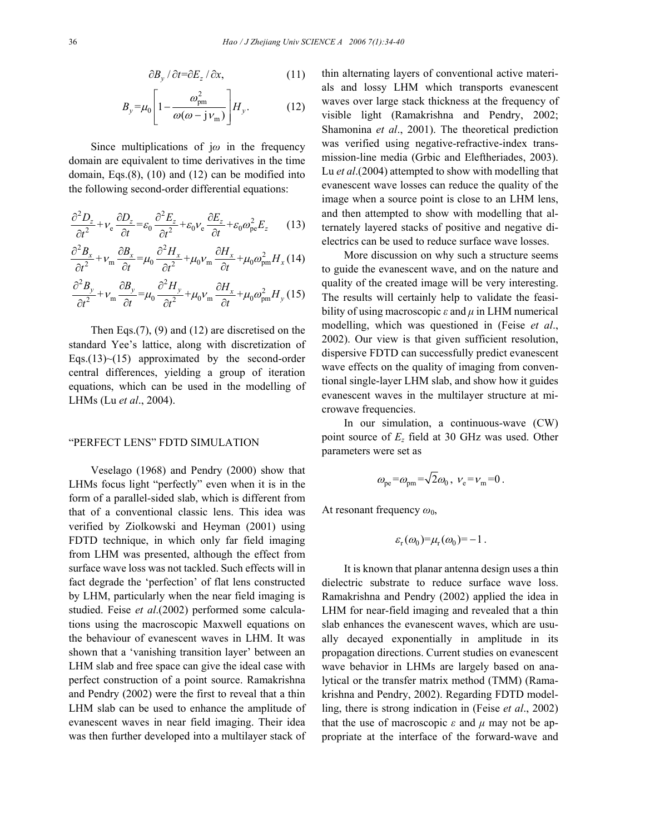$$
\partial B_{y} / \partial t = \partial E_{z} / \partial x, \qquad (11)
$$

$$
B_{y} = \mu_0 \left[ 1 - \frac{\omega_{\text{pm}}^2}{\omega(\omega - j v_{\text{m}})} \right] H_{y}.
$$
 (12)

Since multiplications of j*ω* in the frequency domain are equivalent to time derivatives in the time domain, Eqs. $(8)$ ,  $(10)$  and  $(12)$  can be modified into the following second-order differential equations:

$$
\frac{\partial^2 D_z}{\partial t^2} + v_e \frac{\partial D_z}{\partial t} = \varepsilon_0 \frac{\partial^2 E_z}{\partial t^2} + \varepsilon_0 v_e \frac{\partial E_z}{\partial t} + \varepsilon_0 \omega_{pe}^2 E_z \qquad (13)
$$

$$
\frac{\partial^2 B_x}{\partial t^2} + \nu_{\rm m} \frac{\partial B_x}{\partial t} = \mu_0 \frac{\partial^2 H_x}{\partial t^2} + \mu_0 \nu_{\rm m} \frac{\partial H_x}{\partial t} + \mu_0 \omega_{\rm pm}^2 H_x (14)
$$

$$
\frac{\partial^2 B_y}{\partial t^2} + v_{\rm m} \frac{\partial B_y}{\partial t} = \mu_0 \frac{\partial^2 H_y}{\partial t^2} + \mu_0 v_{\rm m} \frac{\partial H_x}{\partial t} + \mu_0 \omega_{\rm pm}^2 H_y (15)
$$

Then Eqs.(7), (9) and (12) are discretised on the standard Yee's lattice, along with discretization of Eqs.(13) $\sim$ (15) approximated by the second-order central differences, yielding a group of iteration equations, which can be used in the modelling of LHMs (Lu *et al*., 2004).

## "PERFECT LENS" FDTD SIMULATION

Veselago (1968) and Pendry (2000) show that LHMs focus light "perfectly" even when it is in the form of a parallel-sided slab, which is different from that of a conventional classic lens. This idea was verified by Ziolkowski and Heyman (2001) using FDTD technique, in which only far field imaging from LHM was presented, although the effect from surface wave loss was not tackled. Such effects will in fact degrade the 'perfection' of flat lens constructed by LHM, particularly when the near field imaging is studied. Feise *et al*.(2002) performed some calculations using the macroscopic Maxwell equations on the behaviour of evanescent waves in LHM. It was shown that a 'vanishing transition layer' between an LHM slab and free space can give the ideal case with perfect construction of a point source. Ramakrishna and Pendry (2002) were the first to reveal that a thin LHM slab can be used to enhance the amplitude of evanescent waves in near field imaging. Their idea was then further developed into a multilayer stack of thin alternating layers of conventional active materials and lossy LHM which transports evanescent waves over large stack thickness at the frequency of visible light (Ramakrishna and Pendry, 2002; Shamonina *et al*., 2001). The theoretical prediction was verified using negative-refractive-index transmission-line media (Grbic and Eleftheriades, 2003). Lu *et al*.(2004) attempted to show with modelling that evanescent wave losses can reduce the quality of the image when a source point is close to an LHM lens, and then attempted to show with modelling that alternately layered stacks of positive and negative dielectrics can be used to reduce surface wave losses.

More discussion on why such a structure seems to guide the evanescent wave, and on the nature and quality of the created image will be very interesting. The results will certainly help to validate the feasibility of using macroscopic *ε* and *µ* in LHM numerical modelling, which was questioned in (Feise *et al*., 2002). Our view is that given sufficient resolution, dispersive FDTD can successfully predict evanescent wave effects on the quality of imaging from conventional single-layer LHM slab, and show how it guides evanescent waves in the multilayer structure at microwave frequencies.

In our simulation, a continuous-wave (CW) point source of *Ez* field at 30 GHz was used. Other parameters were set as

$$
\omega_{\text{pe}} = \omega_{\text{pm}} = \sqrt{2}\omega_0, \ \nu_{\text{e}} = \nu_{\text{m}} = 0.
$$

At resonant frequency  $ω_0$ ,

$$
\varepsilon_{\rm r}(\omega_0) = \mu_{\rm r}(\omega_0) = -1.
$$

It is known that planar antenna design uses a thin dielectric substrate to reduce surface wave loss. Ramakrishna and Pendry (2002) applied the idea in LHM for near-field imaging and revealed that a thin slab enhances the evanescent waves, which are usually decayed exponentially in amplitude in its propagation directions. Current studies on evanescent wave behavior in LHMs are largely based on analytical or the transfer matrix method (TMM) (Ramakrishna and Pendry, 2002). Regarding FDTD modelling, there is strong indication in (Feise *et al*., 2002) that the use of macroscopic  $\varepsilon$  and  $\mu$  may not be appropriate at the interface of the forward-wave and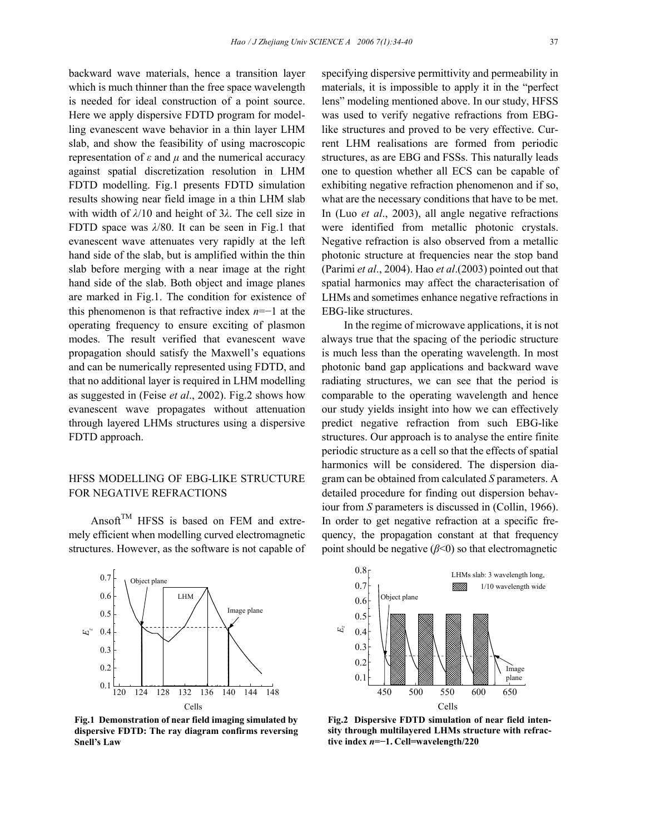backward wave materials, hence a transition layer which is much thinner than the free space wavelength is needed for ideal construction of a point source. Here we apply dispersive FDTD program for modelling evanescent wave behavior in a thin layer LHM slab, and show the feasibility of using macroscopic representation of *ε* and *µ* and the numerical accuracy against spatial discretization resolution in LHM FDTD modelling. Fig.1 presents FDTD simulation results showing near field image in a thin LHM slab with width of *λ*/10 and height of 3*λ*. The cell size in FDTD space was *λ*/80. It can be seen in Fig.1 that evanescent wave attenuates very rapidly at the left hand side of the slab, but is amplified within the thin slab before merging with a near image at the right hand side of the slab. Both object and image planes are marked in Fig.1. The condition for existence of this phenomenon is that refractive index *n*=−1 at the operating frequency to ensure exciting of plasmon modes. The result verified that evanescent wave propagation should satisfy the Maxwell's equations and can be numerically represented using FDTD, and that no additional layer is required in LHM modelling as suggested in (Feise *et al*., 2002). Fig.2 shows how evanescent wave propagates without attenuation through layered LHMs structures using a dispersive FDTD approach.

# HFSS MODELLING OF EBG-LIKE STRUCTURE FOR NEGATIVE REFRACTIONS

Ansoft<sup>TM</sup> HFSS is based on FEM and extremely efficient when modelling curved electromagnetic structures. However, as the software is not capable of



**Fig.1 Demonstration of near field imaging simulated by dispersive FDTD: The ray diagram confirms reversing Snell's Law** 

specifying dispersive permittivity and permeability in materials, it is impossible to apply it in the "perfect lens" modeling mentioned above. In our study, HFSS was used to verify negative refractions from EBGlike structures and proved to be very effective. Current LHM realisations are formed from periodic structures, as are EBG and FSSs. This naturally leads one to question whether all ECS can be capable of exhibiting negative refraction phenomenon and if so, what are the necessary conditions that have to be met. In (Luo *et al*., 2003), all angle negative refractions were identified from metallic photonic crystals. Negative refraction is also observed from a metallic photonic structure at frequencies near the stop band (Parimi *et al*., 2004). Hao *et al*.(2003) pointed out that spatial harmonics may affect the characterisation of LHMs and sometimes enhance negative refractions in EBG-like structures.

In the regime of microwave applications, it is not always true that the spacing of the periodic structure is much less than the operating wavelength. In most photonic band gap applications and backward wave radiating structures, we can see that the period is comparable to the operating wavelength and hence our study yields insight into how we can effectively predict negative refraction from such EBG-like structures. Our approach is to analyse the entire finite periodic structure as a cell so that the effects of spatial harmonics will be considered. The dispersion diagram can be obtained from calculated *S* parameters. A detailed procedure for finding out dispersion behaviour from *S* parameters is discussed in (Collin, 1966). In order to get negative refraction at a specific frequency, the propagation constant at that frequency point should be negative (*β*<0) so that electromagnetic



**Fig.2 Dispersive FDTD simulation of near field intensity through multilayered LHMs structure with refractive index** *n***=−1. Cell=wavelength/220**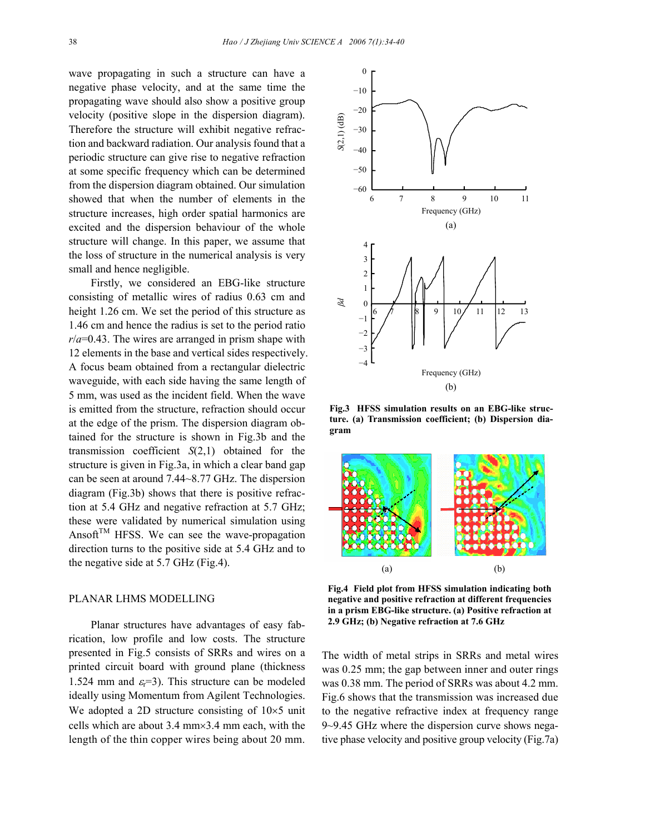wave propagating in such a structure can have a negative phase velocity, and at the same time the propagating wave should also show a positive group velocity (positive slope in the dispersion diagram). Therefore the structure will exhibit negative refraction and backward radiation. Our analysis found that a periodic structure can give rise to negative refraction at some specific frequency which can be determined from the dispersion diagram obtained. Our simulation showed that when the number of elements in the structure increases, high order spatial harmonics are excited and the dispersion behaviour of the whole structure will change. In this paper, we assume that the loss of structure in the numerical analysis is very small and hence negligible.

Firstly, we considered an EBG-like structure consisting of metallic wires of radius 0.63 cm and height 1.26 cm. We set the period of this structure as 1.46 cm and hence the radius is set to the period ratio *r*/*a*=0.43. The wires are arranged in prism shape with 12 elements in the base and vertical sides respectively. A focus beam obtained from a rectangular dielectric waveguide, with each side having the same length of 5 mm, was used as the incident field. When the wave is emitted from the structure, refraction should occur at the edge of the prism. The dispersion diagram obtained for the structure is shown in Fig.3b and the transmission coefficient *S*(2,1) obtained for the structure is given in Fig.3a, in which a clear band gap can be seen at around 7.44~8.77 GHz. The dispersion diagram (Fig.3b) shows that there is positive refraction at 5.4 GHz and negative refraction at 5.7 GHz; these were validated by numerical simulation using Ansoft<sup>TM</sup> HFSS. We can see the wave-propagation direction turns to the positive side at 5.4 GHz and to the negative side at 5.7 GHz (Fig.4).

## PLANAR LHMS MODELLING

Planar structures have advantages of easy fabrication, low profile and low costs. The structure presented in Fig.5 consists of SRRs and wires on a printed circuit board with ground plane (thickness 1.524 mm and  $\varepsilon_{\rm r}$ =3). This structure can be modeled ideally using Momentum from Agilent Technologies. We adopted a 2D structure consisting of  $10\times5$  unit cells which are about 3.4 mm×3.4 mm each, with the length of the thin copper wires being about 20 mm.



**Fig.3 HFSS simulation results on an EBG-like structure. (a) Transmission coefficient; (b) Dispersion diagram** 



**Fig.4 Field plot from HFSS simulation indicating both negative and positive refraction at different frequencies in a prism EBG-like structure. (a) Positive refraction at 2.9 GHz; (b) Negative refraction at 7.6 GHz** 

The width of metal strips in SRRs and metal wires was 0.25 mm; the gap between inner and outer rings was 0.38 mm. The period of SRRs was about 4.2 mm. Fig.6 shows that the transmission was increased due to the negative refractive index at frequency range 9~9.45 GHz where the dispersion curve shows negative phase velocity and positive group velocity (Fig.7a)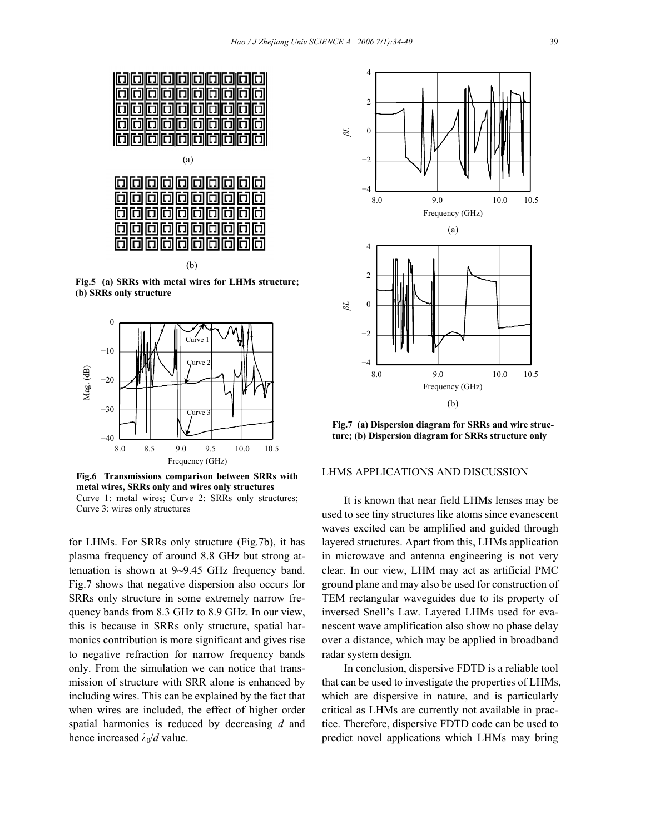

(a)



(b)

**Fig.5 (a) SRRs with metal wires for LHMs structure; (b) SRRs only structure** 



**Fig.6 Transmissions comparison between SRRs with metal wires, SRRs only and wires only structures**  Curve 1: metal wires; Curve 2: SRRs only structures; Curve 3: wires only structures

for LHMs. For SRRs only structure (Fig.7b), it has plasma frequency of around 8.8 GHz but strong attenuation is shown at 9~9.45 GHz frequency band. Fig.7 shows that negative dispersion also occurs for SRRs only structure in some extremely narrow frequency bands from 8.3 GHz to 8.9 GHz. In our view, this is because in SRRs only structure, spatial harmonics contribution is more significant and gives rise to negative refraction for narrow frequency bands only. From the simulation we can notice that transmission of structure with SRR alone is enhanced by including wires. This can be explained by the fact that when wires are included, the effect of higher order spatial harmonics is reduced by decreasing *d* and hence increased  $\lambda_0/d$  value.



**Fig.7 (a) Dispersion diagram for SRRs and wire structure; (b) Dispersion diagram for SRRs structure only** 

## LHMS APPLICATIONS AND DISCUSSION

It is known that near field LHMs lenses may be used to see tiny structures like atoms since evanescent waves excited can be amplified and guided through layered structures. Apart from this, LHMs application in microwave and antenna engineering is not very clear. In our view, LHM may act as artificial PMC ground plane and may also be used for construction of TEM rectangular waveguides due to its property of inversed Snell's Law. Layered LHMs used for evanescent wave amplification also show no phase delay over a distance, which may be applied in broadband radar system design.

In conclusion, dispersive FDTD is a reliable tool that can be used to investigate the properties of LHMs, which are dispersive in nature, and is particularly critical as LHMs are currently not available in practice. Therefore, dispersive FDTD code can be used to predict novel applications which LHMs may bring